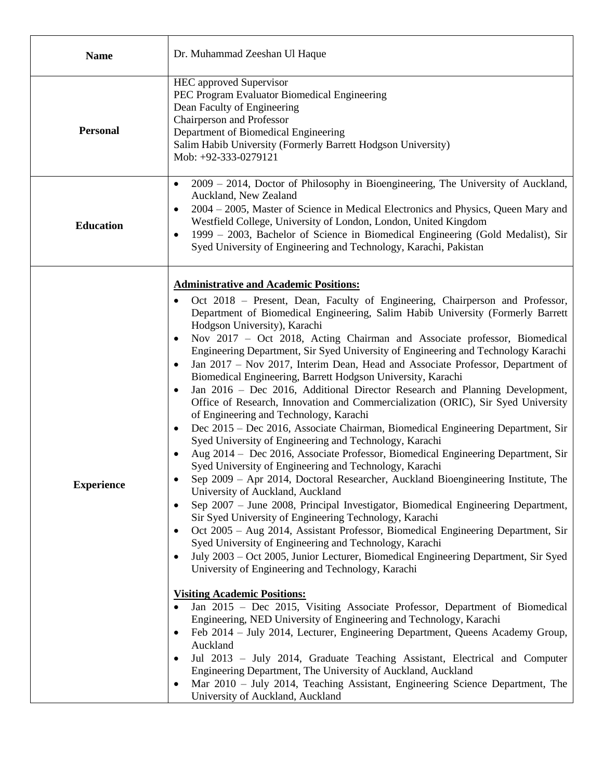| <b>Name</b>       | Dr. Muhammad Zeeshan Ul Haque                                                                                                                                                                                                                                                                                                                                                                                                                                                                                                                                                                                                                                                                                                                                                                                                                                                                                                                                                                                                                                                                                                                                                                                                                                                                                                                                                                                                                                                                                                                                                                                                                                                                                                                                                                                                                                                                                                                                                                                                                                                                                                                                                                                                                                                           |
|-------------------|-----------------------------------------------------------------------------------------------------------------------------------------------------------------------------------------------------------------------------------------------------------------------------------------------------------------------------------------------------------------------------------------------------------------------------------------------------------------------------------------------------------------------------------------------------------------------------------------------------------------------------------------------------------------------------------------------------------------------------------------------------------------------------------------------------------------------------------------------------------------------------------------------------------------------------------------------------------------------------------------------------------------------------------------------------------------------------------------------------------------------------------------------------------------------------------------------------------------------------------------------------------------------------------------------------------------------------------------------------------------------------------------------------------------------------------------------------------------------------------------------------------------------------------------------------------------------------------------------------------------------------------------------------------------------------------------------------------------------------------------------------------------------------------------------------------------------------------------------------------------------------------------------------------------------------------------------------------------------------------------------------------------------------------------------------------------------------------------------------------------------------------------------------------------------------------------------------------------------------------------------------------------------------------------|
| <b>Personal</b>   | <b>HEC</b> approved Supervisor<br>PEC Program Evaluator Biomedical Engineering<br>Dean Faculty of Engineering<br>Chairperson and Professor<br>Department of Biomedical Engineering<br>Salim Habib University (Formerly Barrett Hodgson University)<br>Mob: +92-333-0279121                                                                                                                                                                                                                                                                                                                                                                                                                                                                                                                                                                                                                                                                                                                                                                                                                                                                                                                                                                                                                                                                                                                                                                                                                                                                                                                                                                                                                                                                                                                                                                                                                                                                                                                                                                                                                                                                                                                                                                                                              |
| <b>Education</b>  | $2009 - 2014$ , Doctor of Philosophy in Bioengineering, The University of Auckland,<br>Auckland, New Zealand<br>2004 – 2005, Master of Science in Medical Electronics and Physics, Queen Mary and<br>٠<br>Westfield College, University of London, London, United Kingdom<br>1999 – 2003, Bachelor of Science in Biomedical Engineering (Gold Medalist), Sir<br>$\bullet$<br>Syed University of Engineering and Technology, Karachi, Pakistan                                                                                                                                                                                                                                                                                                                                                                                                                                                                                                                                                                                                                                                                                                                                                                                                                                                                                                                                                                                                                                                                                                                                                                                                                                                                                                                                                                                                                                                                                                                                                                                                                                                                                                                                                                                                                                           |
| <b>Experience</b> | <b>Administrative and Academic Positions:</b><br>Oct 2018 – Present, Dean, Faculty of Engineering, Chairperson and Professor,<br>Department of Biomedical Engineering, Salim Habib University (Formerly Barrett<br>Hodgson University), Karachi<br>Nov 2017 - Oct 2018, Acting Chairman and Associate professor, Biomedical<br>Engineering Department, Sir Syed University of Engineering and Technology Karachi<br>Jan 2017 – Nov 2017, Interim Dean, Head and Associate Professor, Department of<br>$\bullet$<br>Biomedical Engineering, Barrett Hodgson University, Karachi<br>Jan 2016 – Dec 2016, Additional Director Research and Planning Development,<br>Office of Research, Innovation and Commercialization (ORIC), Sir Syed University<br>of Engineering and Technology, Karachi<br>Dec 2015 - Dec 2016, Associate Chairman, Biomedical Engineering Department, Sir<br>$\bullet$<br>Syed University of Engineering and Technology, Karachi<br>Aug 2014 - Dec 2016, Associate Professor, Biomedical Engineering Department, Sir<br>Syed University of Engineering and Technology, Karachi<br>Sep 2009 - Apr 2014, Doctoral Researcher, Auckland Bioengineering Institute, The<br>University of Auckland, Auckland<br>Sep 2007 – June 2008, Principal Investigator, Biomedical Engineering Department,<br>$\bullet$<br>Sir Syed University of Engineering Technology, Karachi<br>Oct 2005 – Aug 2014, Assistant Professor, Biomedical Engineering Department, Sir<br>$\bullet$<br>Syed University of Engineering and Technology, Karachi<br>July 2003 – Oct 2005, Junior Lecturer, Biomedical Engineering Department, Sir Syed<br>University of Engineering and Technology, Karachi<br><b>Visiting Academic Positions:</b><br>Jan 2015 - Dec 2015, Visiting Associate Professor, Department of Biomedical<br>$\bullet$<br>Engineering, NED University of Engineering and Technology, Karachi<br>Feb 2014 – July 2014, Lecturer, Engineering Department, Queens Academy Group,<br>Auckland<br>Jul 2013 - July 2014, Graduate Teaching Assistant, Electrical and Computer<br>٠<br>Engineering Department, The University of Auckland, Auckland<br>Mar 2010 - July 2014, Teaching Assistant, Engineering Science Department, The<br>$\bullet$<br>University of Auckland, Auckland |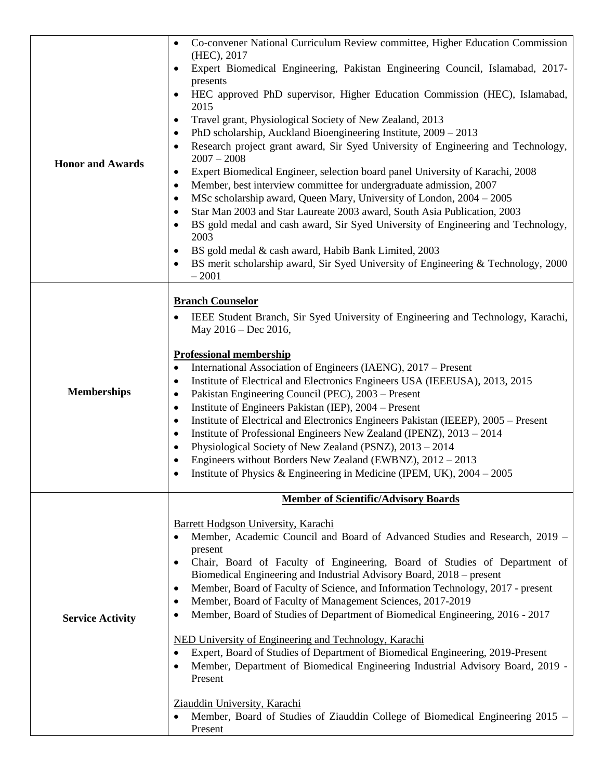| <b>Honor and Awards</b> | Co-convener National Curriculum Review committee, Higher Education Commission<br>$\bullet$<br>(HEC), 2017<br>Expert Biomedical Engineering, Pakistan Engineering Council, Islamabad, 2017-<br>presents<br>HEC approved PhD supervisor, Higher Education Commission (HEC), Islamabad,<br>٠<br>2015<br>Travel grant, Physiological Society of New Zealand, 2013<br>$\bullet$<br>PhD scholarship, Auckland Bioengineering Institute, 2009 - 2013<br>٠<br>Research project grant award, Sir Syed University of Engineering and Technology,<br>$2007 - 2008$<br>Expert Biomedical Engineer, selection board panel University of Karachi, 2008<br>$\bullet$<br>Member, best interview committee for undergraduate admission, 2007<br>$\bullet$<br>MSc scholarship award, Queen Mary, University of London, 2004 – 2005<br>$\bullet$                                                                                                                          |
|-------------------------|--------------------------------------------------------------------------------------------------------------------------------------------------------------------------------------------------------------------------------------------------------------------------------------------------------------------------------------------------------------------------------------------------------------------------------------------------------------------------------------------------------------------------------------------------------------------------------------------------------------------------------------------------------------------------------------------------------------------------------------------------------------------------------------------------------------------------------------------------------------------------------------------------------------------------------------------------------|
|                         | Star Man 2003 and Star Laureate 2003 award, South Asia Publication, 2003<br>BS gold medal and cash award, Sir Syed University of Engineering and Technology,<br>2003<br>BS gold medal & cash award, Habib Bank Limited, 2003<br>$\bullet$<br>BS merit scholarship award, Sir Syed University of Engineering & Technology, 2000<br>$-2001$                                                                                                                                                                                                                                                                                                                                                                                                                                                                                                                                                                                                              |
| <b>Memberships</b>      | <b>Branch Counselor</b><br>IEEE Student Branch, Sir Syed University of Engineering and Technology, Karachi,<br>May $2016 - Dec 2016$ ,<br><b>Professional membership</b><br>International Association of Engineers (IAENG), 2017 – Present<br>$\bullet$<br>Institute of Electrical and Electronics Engineers USA (IEEEUSA), 2013, 2015<br>٠<br>Pakistan Engineering Council (PEC), 2003 - Present<br>٠<br>Institute of Engineers Pakistan (IEP), 2004 – Present<br>٠<br>Institute of Electrical and Electronics Engineers Pakistan (IEEEP), 2005 – Present<br>$\bullet$<br>Institute of Professional Engineers New Zealand (IPENZ), 2013 - 2014<br>$\bullet$<br>Physiological Society of New Zealand (PSNZ), 2013 - 2014<br>٠<br>Engineers without Borders New Zealand (EWBNZ), 2012 - 2013<br>Institute of Physics & Engineering in Medicine (IPEM, UK), $2004 - 2005$                                                                                |
|                         |                                                                                                                                                                                                                                                                                                                                                                                                                                                                                                                                                                                                                                                                                                                                                                                                                                                                                                                                                        |
| <b>Service Activity</b> | <b>Member of Scientific/Advisory Boards</b><br>Barrett Hodgson University, Karachi<br>Member, Academic Council and Board of Advanced Studies and Research, 2019 –<br>present<br>Chair, Board of Faculty of Engineering, Board of Studies of Department of<br>Biomedical Engineering and Industrial Advisory Board, 2018 – present<br>Member, Board of Faculty of Science, and Information Technology, 2017 - present<br>٠<br>Member, Board of Faculty of Management Sciences, 2017-2019<br>٠<br>Member, Board of Studies of Department of Biomedical Engineering, 2016 - 2017<br>٠<br>NED University of Engineering and Technology, Karachi<br>Expert, Board of Studies of Department of Biomedical Engineering, 2019-Present<br>Member, Department of Biomedical Engineering Industrial Advisory Board, 2019 -<br>Present<br>Ziauddin University, Karachi<br>Member, Board of Studies of Ziauddin College of Biomedical Engineering 2015 –<br>Present |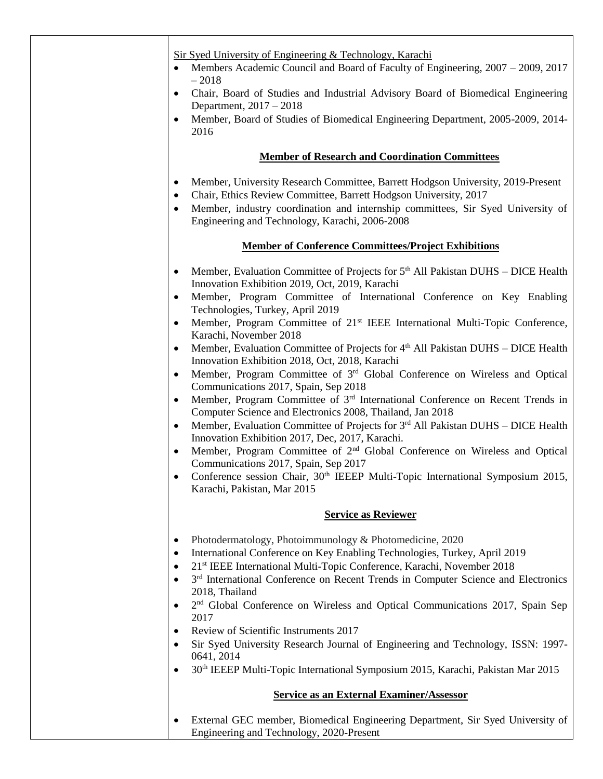| Sir Syed University of Engineering & Technology, Karachi<br>Members Academic Council and Board of Faculty of Engineering, 2007 – 2009, 2017<br>$\bullet$                                                                                                                                                                        |
|---------------------------------------------------------------------------------------------------------------------------------------------------------------------------------------------------------------------------------------------------------------------------------------------------------------------------------|
| $-2018$<br>Chair, Board of Studies and Industrial Advisory Board of Biomedical Engineering<br>$\bullet$                                                                                                                                                                                                                         |
| Department, 2017 - 2018<br>Member, Board of Studies of Biomedical Engineering Department, 2005-2009, 2014-<br>$\bullet$<br>2016                                                                                                                                                                                                 |
| <b>Member of Research and Coordination Committees</b>                                                                                                                                                                                                                                                                           |
| Member, University Research Committee, Barrett Hodgson University, 2019-Present<br>$\bullet$<br>Chair, Ethics Review Committee, Barrett Hodgson University, 2017<br>$\bullet$<br>Member, industry coordination and internship committees, Sir Syed University of<br>$\bullet$<br>Engineering and Technology, Karachi, 2006-2008 |
| <b>Member of Conference Committees/Project Exhibitions</b>                                                                                                                                                                                                                                                                      |
| Member, Evaluation Committee of Projects for 5 <sup>th</sup> All Pakistan DUHS - DICE Health<br>$\bullet$                                                                                                                                                                                                                       |
| Innovation Exhibition 2019, Oct, 2019, Karachi<br>Member, Program Committee of International Conference on Key Enabling<br>$\bullet$<br>Technologies, Turkey, April 2019                                                                                                                                                        |
| Member, Program Committee of 21 <sup>st</sup> IEEE International Multi-Topic Conference,<br>$\bullet$<br>Karachi, November 2018                                                                                                                                                                                                 |
| Member, Evaluation Committee of Projects for 4th All Pakistan DUHS – DICE Health<br>$\bullet$<br>Innovation Exhibition 2018, Oct, 2018, Karachi                                                                                                                                                                                 |
| Member, Program Committee of 3 <sup>rd</sup> Global Conference on Wireless and Optical<br>$\bullet$<br>Communications 2017, Spain, Sep 2018                                                                                                                                                                                     |
| Member, Program Committee of 3 <sup>rd</sup> International Conference on Recent Trends in<br>$\bullet$<br>Computer Science and Electronics 2008, Thailand, Jan 2018                                                                                                                                                             |
| Member, Evaluation Committee of Projects for 3rd All Pakistan DUHS – DICE Health<br>$\bullet$<br>Innovation Exhibition 2017, Dec, 2017, Karachi.                                                                                                                                                                                |
| Member, Program Committee of 2 <sup>nd</sup> Global Conference on Wireless and Optical<br>$\bullet$<br>Communications 2017, Spain, Sep 2017                                                                                                                                                                                     |
| Conference session Chair, 30 <sup>th</sup> IEEEP Multi-Topic International Symposium 2015,<br>Karachi, Pakistan, Mar 2015                                                                                                                                                                                                       |
| <b>Service as Reviewer</b>                                                                                                                                                                                                                                                                                                      |
| Photodermatology, Photoimmunology & Photomedicine, 2020<br>$\bullet$                                                                                                                                                                                                                                                            |
| International Conference on Key Enabling Technologies, Turkey, April 2019<br>$\bullet$                                                                                                                                                                                                                                          |
| 21 <sup>st</sup> IEEE International Multi-Topic Conference, Karachi, November 2018                                                                                                                                                                                                                                              |
| 3 <sup>rd</sup> International Conference on Recent Trends in Computer Science and Electronics<br>$\bullet$<br>2018, Thailand                                                                                                                                                                                                    |
| 2 <sup>nd</sup> Global Conference on Wireless and Optical Communications 2017, Spain Sep<br>$\bullet$<br>2017                                                                                                                                                                                                                   |
| Review of Scientific Instruments 2017<br>$\bullet$                                                                                                                                                                                                                                                                              |
| Sir Syed University Research Journal of Engineering and Technology, ISSN: 1997-<br>$\bullet$<br>0641, 2014                                                                                                                                                                                                                      |
| 30 <sup>th</sup> IEEEP Multi-Topic International Symposium 2015, Karachi, Pakistan Mar 2015<br>$\bullet$                                                                                                                                                                                                                        |
| <b>Service as an External Examiner/Assessor</b>                                                                                                                                                                                                                                                                                 |
| External GEC member, Biomedical Engineering Department, Sir Syed University of<br>Engineering and Technology, 2020-Present                                                                                                                                                                                                      |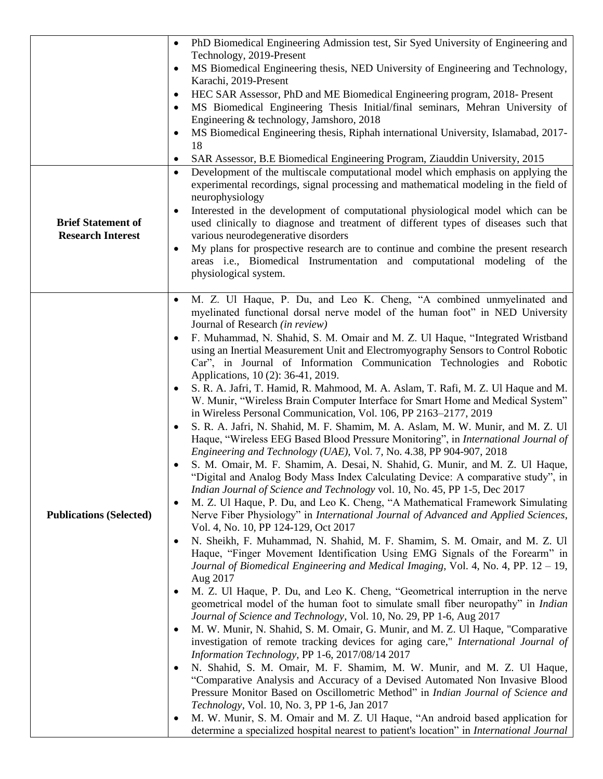| <b>Brief Statement of</b><br><b>Research Interest</b> | PhD Biomedical Engineering Admission test, Sir Syed University of Engineering and<br>$\bullet$<br>Technology, 2019-Present<br>MS Biomedical Engineering thesis, NED University of Engineering and Technology,<br>Karachi, 2019-Present<br>HEC SAR Assessor, PhD and ME Biomedical Engineering program, 2018- Present<br>٠<br>MS Biomedical Engineering Thesis Initial/final seminars, Mehran University of<br>$\bullet$<br>Engineering & technology, Jamshoro, 2018<br>MS Biomedical Engineering thesis, Riphah international University, Islamabad, 2017-<br>18<br>SAR Assessor, B.E Biomedical Engineering Program, Ziauddin University, 2015<br>$\bullet$<br>Development of the multiscale computational model which emphasis on applying the<br>$\bullet$<br>experimental recordings, signal processing and mathematical modeling in the field of<br>neurophysiology<br>Interested in the development of computational physiological model which can be<br>used clinically to diagnose and treatment of different types of diseases such that<br>various neurodegenerative disorders                                                                                                                                                                                                                                                                                                                                                                                                                                                                                                                                                                                                                                                                                                                                                                                                                                                                                                                                                                                                                                                                                                                                                                                                                                                                                                                                                                     |
|-------------------------------------------------------|--------------------------------------------------------------------------------------------------------------------------------------------------------------------------------------------------------------------------------------------------------------------------------------------------------------------------------------------------------------------------------------------------------------------------------------------------------------------------------------------------------------------------------------------------------------------------------------------------------------------------------------------------------------------------------------------------------------------------------------------------------------------------------------------------------------------------------------------------------------------------------------------------------------------------------------------------------------------------------------------------------------------------------------------------------------------------------------------------------------------------------------------------------------------------------------------------------------------------------------------------------------------------------------------------------------------------------------------------------------------------------------------------------------------------------------------------------------------------------------------------------------------------------------------------------------------------------------------------------------------------------------------------------------------------------------------------------------------------------------------------------------------------------------------------------------------------------------------------------------------------------------------------------------------------------------------------------------------------------------------------------------------------------------------------------------------------------------------------------------------------------------------------------------------------------------------------------------------------------------------------------------------------------------------------------------------------------------------------------------------------------------------------------------------------------------------------------------|
|                                                       | My plans for prospective research are to continue and combine the present research<br>$\bullet$<br>areas i.e., Biomedical Instrumentation and computational modeling of the<br>physiological system.                                                                                                                                                                                                                                                                                                                                                                                                                                                                                                                                                                                                                                                                                                                                                                                                                                                                                                                                                                                                                                                                                                                                                                                                                                                                                                                                                                                                                                                                                                                                                                                                                                                                                                                                                                                                                                                                                                                                                                                                                                                                                                                                                                                                                                                         |
| <b>Publications (Selected)</b>                        | M. Z. Ul Haque, P. Du, and Leo K. Cheng, "A combined unmyelinated and<br>$\bullet$<br>myelinated functional dorsal nerve model of the human foot" in NED University<br>Journal of Research (in review)<br>F. Muhammad, N. Shahid, S. M. Omair and M. Z. Ul Haque, "Integrated Wristband<br>using an Inertial Measurement Unit and Electromyography Sensors to Control Robotic<br>Car", in Journal of Information Communication Technologies and Robotic<br>Applications, 10 (2): 36-41, 2019.<br>S. R. A. Jafri, T. Hamid, R. Mahmood, M. A. Aslam, T. Rafi, M. Z. Ul Haque and M.<br>W. Munir, "Wireless Brain Computer Interface for Smart Home and Medical System"<br>in Wireless Personal Communication, Vol. 106, PP 2163-2177, 2019<br>S. R. A. Jafri, N. Shahid, M. F. Shamim, M. A. Aslam, M. W. Munir, and M. Z. Ul<br>Haque, "Wireless EEG Based Blood Pressure Monitoring", in International Journal of<br>Engineering and Technology (UAE), Vol. 7, No. 4.38, PP 904-907, 2018<br>S. M. Omair, M. F. Shamim, A. Desai, N. Shahid, G. Munir, and M. Z. Ul Haque,<br>"Digital and Analog Body Mass Index Calculating Device: A comparative study", in<br>Indian Journal of Science and Technology vol. 10, No. 45, PP 1-5, Dec 2017<br>M. Z. Ul Haque, P. Du, and Leo K. Cheng, "A Mathematical Framework Simulating<br>Nerve Fiber Physiology" in International Journal of Advanced and Applied Sciences,<br>Vol. 4, No. 10, PP 124-129, Oct 2017<br>N. Sheikh, F. Muhammad, N. Shahid, M. F. Shamim, S. M. Omair, and M. Z. Ul<br>Haque, "Finger Movement Identification Using EMG Signals of the Forearm" in<br>Journal of Biomedical Engineering and Medical Imaging, Vol. 4, No. 4, PP. 12 – 19,<br>Aug 2017<br>M. Z. Ul Haque, P. Du, and Leo K. Cheng, "Geometrical interruption in the nerve<br>geometrical model of the human foot to simulate small fiber neuropathy" in <i>Indian</i><br>Journal of Science and Technology, Vol. 10, No. 29, PP 1-6, Aug 2017<br>M. W. Munir, N. Shahid, S. M. Omair, G. Munir, and M. Z. Ul Haque, "Comparative<br>investigation of remote tracking devices for aging care," International Journal of<br>Information Technology, PP 1-6, 2017/08/14 2017<br>N. Shahid, S. M. Omair, M. F. Shamim, M. W. Munir, and M. Z. Ul Haque,<br>"Comparative Analysis and Accuracy of a Devised Automated Non Invasive Blood<br>Pressure Monitor Based on Oscillometric Method" in Indian Journal of Science and |
|                                                       | Technology, Vol. 10, No. 3, PP 1-6, Jan 2017<br>M. W. Munir, S. M. Omair and M. Z. Ul Haque, "An android based application for<br>determine a specialized hospital nearest to patient's location" in <i>International Journal</i>                                                                                                                                                                                                                                                                                                                                                                                                                                                                                                                                                                                                                                                                                                                                                                                                                                                                                                                                                                                                                                                                                                                                                                                                                                                                                                                                                                                                                                                                                                                                                                                                                                                                                                                                                                                                                                                                                                                                                                                                                                                                                                                                                                                                                            |